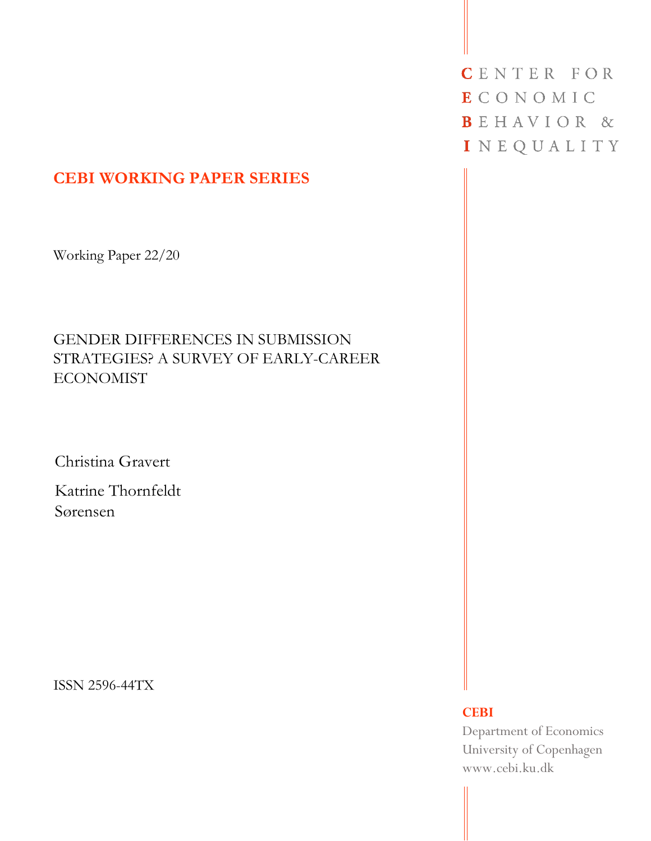# **CEBI WORKING PAPER SERIES**

Working Paper 22/20

# GENDER DIFFERENCES IN SUBMISSION STRATEGIES? A SURVEY OF EARLY-CAREER ECONOMIST

Christina Gravert

Katrine Thornfeldt Sørensen

ISSN 2596-44TX

CENTER FOR **ECONOMIC** BEHAVIOR & INEQUALITY

#### **CEBI**

Department of Economics University of Copenhagen www.cebi.ku.dk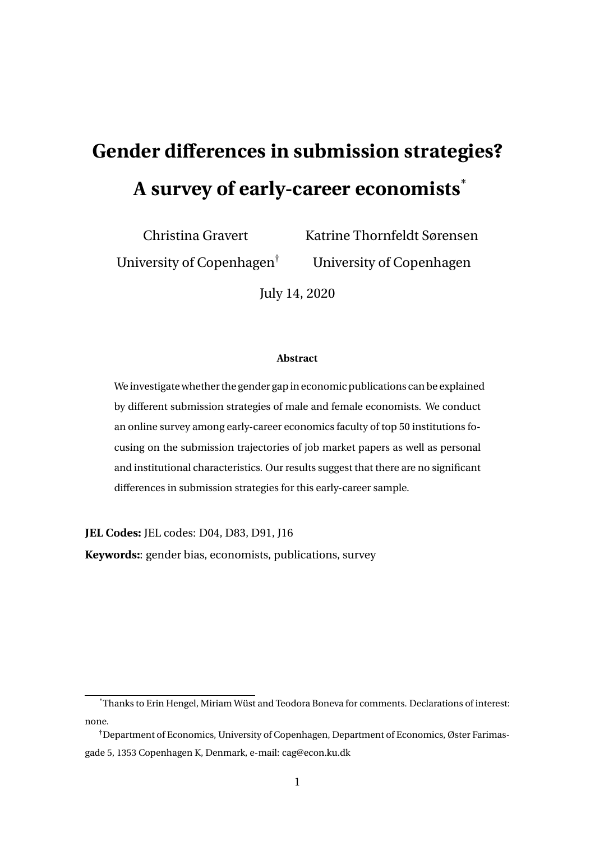# **Gender differences in submission strategies? A survey of early-career economists**\*

Christina Gravert

University of Copenhagen†

Katrine Thornfeldt Sørensen University of Copenhagen

July 14, 2020

#### **Abstract**

We investigate whether the gender gap in economic publications can be explained by different submission strategies of male and female economists. We conduct an online survey among early-career economics faculty of top 50 institutions focusing on the submission trajectories of job market papers as well as personal and institutional characteristics. Our results suggest that there are no significant differences in submission strategies for this early-career sample.

**JEL Codes:** JEL codes: D04, D83, D91, J16

**Keywords:**: gender bias, economists, publications, survey

<sup>\*</sup>Thanks to Erin Hengel, Miriam Wüst and Teodora Boneva for comments. Declarations of interest: none.

<sup>†</sup>Department of Economics, University of Copenhagen, Department of Economics, Øster Farimasgade 5, 1353 Copenhagen K, Denmark, e-mail: cag@econ.ku.dk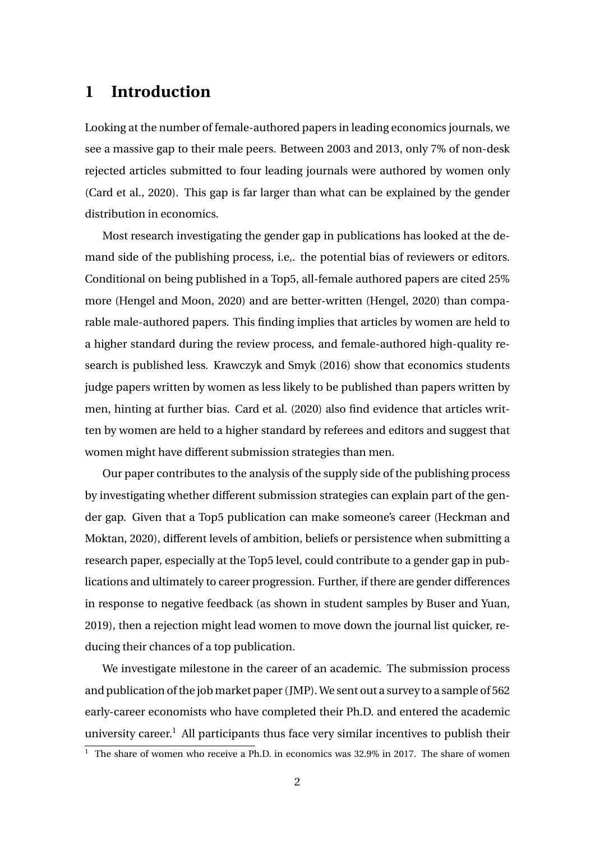## **1 Introduction**

Looking at the number of female-authored papers in leading economics journals, we see a massive gap to their male peers. Between 2003 and 2013, only 7% of non-desk rejected articles submitted to four leading journals were authored by women only (Card et al., 2020). This gap is far larger than what can be explained by the gender distribution in economics.

Most research investigating the gender gap in publications has looked at the demand side of the publishing process, i.e,. the potential bias of reviewers or editors. Conditional on being published in a Top5, all-female authored papers are cited 25% more (Hengel and Moon, 2020) and are better-written (Hengel, 2020) than comparable male-authored papers. This finding implies that articles by women are held to a higher standard during the review process, and female-authored high-quality research is published less. Krawczyk and Smyk (2016) show that economics students judge papers written by women as less likely to be published than papers written by men, hinting at further bias. Card et al. (2020) also find evidence that articles written by women are held to a higher standard by referees and editors and suggest that women might have different submission strategies than men.

Our paper contributes to the analysis of the supply side of the publishing process by investigating whether different submission strategies can explain part of the gender gap. Given that a Top5 publication can make someone's career (Heckman and Moktan, 2020), different levels of ambition, beliefs or persistence when submitting a research paper, especially at the Top5 level, could contribute to a gender gap in publications and ultimately to career progression. Further, if there are gender differences in response to negative feedback (as shown in student samples by Buser and Yuan, 2019), then a rejection might lead women to move down the journal list quicker, reducing their chances of a top publication.

We investigate milestone in the career of an academic. The submission process and publication of the job market paper (JMP). We sent out a survey to a sample of 562 early-career economists who have completed their Ph.D. and entered the academic university career.<sup>1</sup> All participants thus face very similar incentives to publish their

 $\frac{1}{1}$  The share of women who receive a Ph.D. in economics was 32.9% in 2017. The share of women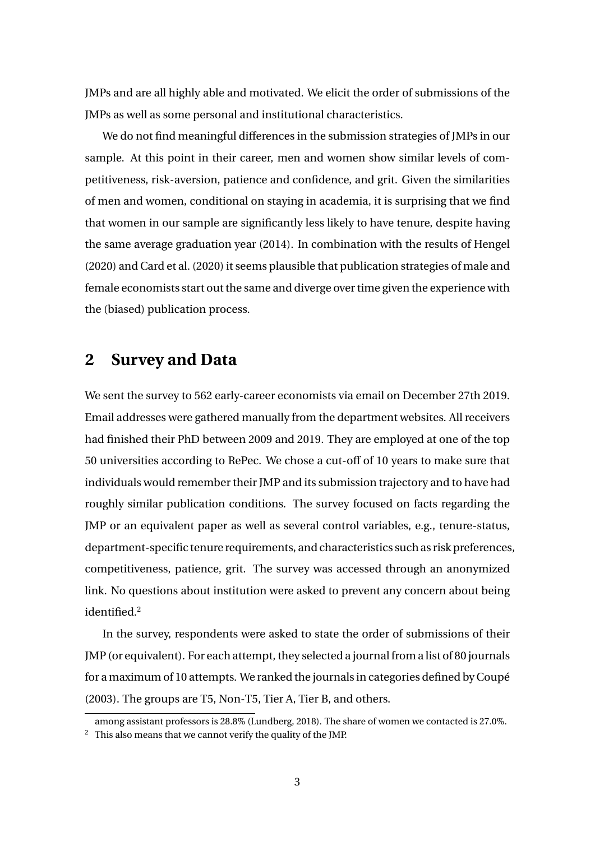JMPs and are all highly able and motivated. We elicit the order of submissions of the JMPs as well as some personal and institutional characteristics.

We do not find meaningful differences in the submission strategies of JMPs in our sample. At this point in their career, men and women show similar levels of competitiveness, risk-aversion, patience and confidence, and grit. Given the similarities of men and women, conditional on staying in academia, it is surprising that we find that women in our sample are significantly less likely to have tenure, despite having the same average graduation year (2014). In combination with the results of Hengel (2020) and Card et al. (2020) it seems plausible that publication strategies of male and female economists start out the same and diverge over time given the experience with the (biased) publication process.

#### **2 Survey and Data**

We sent the survey to 562 early-career economists via email on December 27th 2019. Email addresses were gathered manually from the department websites. All receivers had finished their PhD between 2009 and 2019. They are employed at one of the top 50 universities according to RePec. We chose a cut-off of 10 years to make sure that individuals would remember their JMP and its submission trajectory and to have had roughly similar publication conditions. The survey focused on facts regarding the JMP or an equivalent paper as well as several control variables, e.g., tenure-status, department-specific tenure requirements, and characteristics such as risk preferences, competitiveness, patience, grit. The survey was accessed through an anonymized link. No questions about institution were asked to prevent any concern about being identified.<sup>2</sup>

In the survey, respondents were asked to state the order of submissions of their JMP (or equivalent). For each attempt, they selected a journal from a list of 80 journals for a maximum of 10 attempts. We ranked the journals in categories defined by Coupé (2003). The groups are T5, Non-T5, Tier A, Tier B, and others.

among assistant professors is 28.8% (Lundberg, 2018). The share of women we contacted is 27.0%.  $2\degree$  This also means that we cannot verify the quality of the JMP.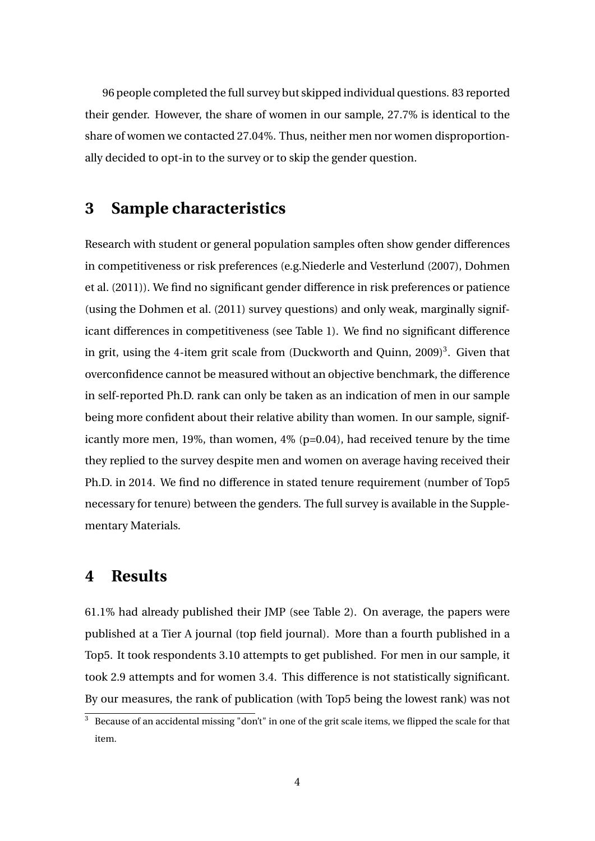96 people completed the full survey but skipped individual questions. 83 reported their gender. However, the share of women in our sample, 27.7% is identical to the share of women we contacted 27.04%. Thus, neither men nor women disproportionally decided to opt-in to the survey or to skip the gender question.

# **3 Sample characteristics**

Research with student or general population samples often show gender differences in competitiveness or risk preferences (e.g.Niederle and Vesterlund (2007), Dohmen et al. (2011)). We find no significant gender difference in risk preferences or patience (using the Dohmen et al. (2011) survey questions) and only weak, marginally significant differences in competitiveness (see Table 1). We find no significant difference in grit, using the 4-item grit scale from (Duckworth and Quinn, 2009)<sup>3</sup>. Given that overconfidence cannot be measured without an objective benchmark, the difference in self-reported Ph.D. rank can only be taken as an indication of men in our sample being more confident about their relative ability than women. In our sample, significantly more men, 19%, than women, 4% (p=0.04), had received tenure by the time they replied to the survey despite men and women on average having received their Ph.D. in 2014. We find no difference in stated tenure requirement (number of Top5 necessary for tenure) between the genders. The full survey is available in the Supplementary Materials.

### **4 Results**

61.1% had already published their JMP (see Table 2). On average, the papers were published at a Tier A journal (top field journal). More than a fourth published in a Top5. It took respondents 3.10 attempts to get published. For men in our sample, it took 2.9 attempts and for women 3.4. This difference is not statistically significant. By our measures, the rank of publication (with Top5 being the lowest rank) was not

 $\frac{3}{3}$  Because of an accidental missing "don't" in one of the grit scale items, we flipped the scale for that item.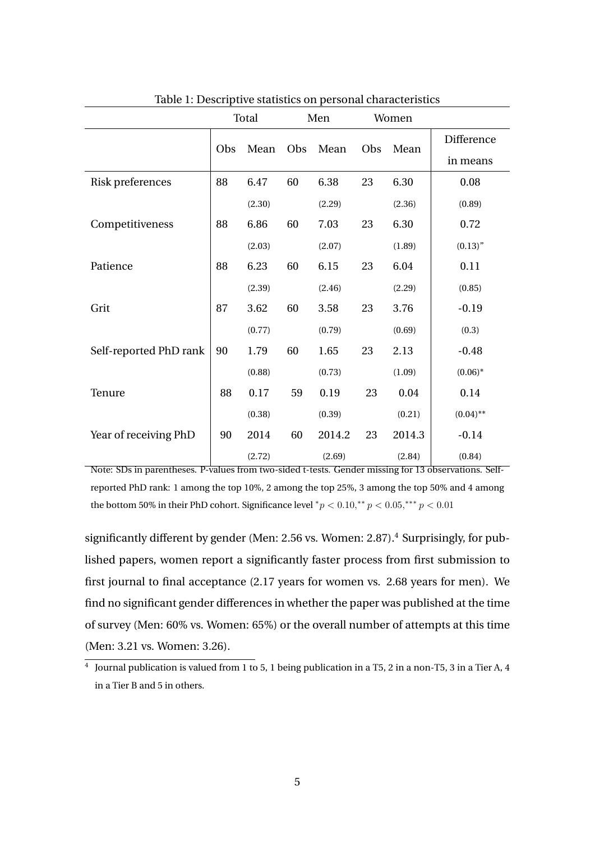| rable 1. Descriptive statistics on personal enaracteristics |       |        |     |        |       |        |             |  |  |  |  |  |
|-------------------------------------------------------------|-------|--------|-----|--------|-------|--------|-------------|--|--|--|--|--|
|                                                             | Total |        | Men |        | Women |        |             |  |  |  |  |  |
|                                                             | Obs   | Mean   | Obs | Mean   | Obs   | Mean   | Difference  |  |  |  |  |  |
|                                                             |       |        |     |        |       |        | in means    |  |  |  |  |  |
| Risk preferences                                            | 88    | 6.47   | 60  | 6.38   | 23    | 6.30   | 0.08        |  |  |  |  |  |
|                                                             |       | (2.30) |     | (2.29) |       | (2.36) | (0.89)      |  |  |  |  |  |
| Competitiveness                                             | 88    | 6.86   | 60  | 7.03   | 23    | 6.30   | 0.72        |  |  |  |  |  |
|                                                             |       | (2.03) |     | (2.07) |       | (1.89) | (0.13)''    |  |  |  |  |  |
| Patience                                                    | 88    | 6.23   | 60  | 6.15   | 23    | 6.04   | 0.11        |  |  |  |  |  |
|                                                             |       | (2.39) |     | (2.46) |       | (2.29) | (0.85)      |  |  |  |  |  |
| Grit                                                        | 87    | 3.62   | 60  | 3.58   | 23    | 3.76   | $-0.19$     |  |  |  |  |  |
|                                                             |       | (0.77) |     | (0.79) |       | (0.69) | (0.3)       |  |  |  |  |  |
| Self-reported PhD rank                                      | 90    | 1.79   | 60  | 1.65   | 23    | 2.13   | $-0.48$     |  |  |  |  |  |
|                                                             |       | (0.88) |     | (0.73) |       | (1.09) | $(0.06)*$   |  |  |  |  |  |
| Tenure                                                      | 88    | 0.17   | 59  | 0.19   | 23    | 0.04   | 0.14        |  |  |  |  |  |
|                                                             |       | (0.38) |     | (0.39) |       | (0.21) | $(0.04)$ ** |  |  |  |  |  |
| Year of receiving PhD                                       | 90    | 2014   | 60  | 2014.2 | 23    | 2014.3 | $-0.14$     |  |  |  |  |  |
|                                                             |       | (2.72) |     | (2.69) |       | (2.84) | (0.84)      |  |  |  |  |  |

Table 1: Descriptive statistics on personal characteristics

Note: SDs in parentheses. P-values from two-sided t-tests. Gender missing for 13 observations. Selfreported PhD rank: 1 among the top 10%, 2 among the top 25%, 3 among the top 50% and 4 among the bottom 50% in their PhD cohort. Significance level  ${}^*p$  < 0.10, ${}^*p$  < 0.05, ${}^*{}^*p$  < 0.01

significantly different by gender (Men: 2.56 vs. Women: 2.87).<sup>4</sup> Surprisingly, for published papers, women report a significantly faster process from first submission to first journal to final acceptance (2.17 years for women vs. 2.68 years for men). We find no significant gender differences in whether the paper was published at the time of survey (Men: 60% vs. Women: 65%) or the overall number of attempts at this time (Men: 3.21 vs. Women: 3.26).

 $^4$  Journal publication is valued from 1 to 5, 1 being publication in a T5, 2 in a non-T5, 3 in a Tier A, 4 in a Tier B and 5 in others.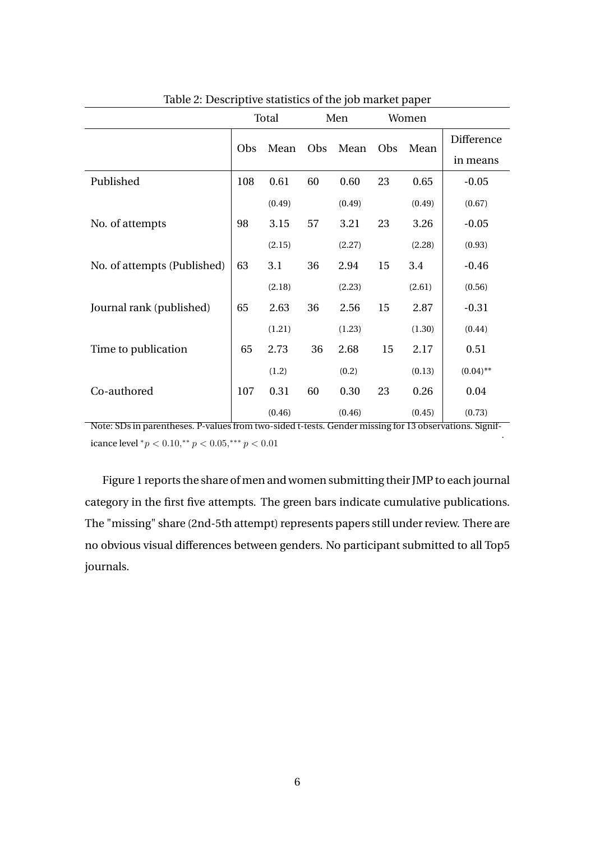| Table 2. Descriptive statistics of the job market paper |       |        |     |        |       |        |             |  |  |  |  |  |
|---------------------------------------------------------|-------|--------|-----|--------|-------|--------|-------------|--|--|--|--|--|
|                                                         | Total |        | Men |        | Women |        |             |  |  |  |  |  |
|                                                         | Obs   | Mean   | Obs | Mean   | Obs   | Mean   | Difference  |  |  |  |  |  |
|                                                         |       |        |     |        |       |        | in means    |  |  |  |  |  |
| Published                                               | 108   | 0.61   | 60  | 0.60   | 23    | 0.65   | $-0.05$     |  |  |  |  |  |
|                                                         |       | (0.49) |     | (0.49) |       | (0.49) | (0.67)      |  |  |  |  |  |
| No. of attempts                                         | 98    | 3.15   | 57  | 3.21   | 23    | 3.26   | $-0.05$     |  |  |  |  |  |
|                                                         |       | (2.15) |     | (2.27) |       | (2.28) | (0.93)      |  |  |  |  |  |
| No. of attempts (Published)                             | 63    | 3.1    | 36  | 2.94   | 15    | 3.4    | $-0.46$     |  |  |  |  |  |
|                                                         |       | (2.18) |     | (2.23) |       | (2.61) | (0.56)      |  |  |  |  |  |
| Journal rank (published)                                | 65    | 2.63   | 36  | 2.56   | 15    | 2.87   | $-0.31$     |  |  |  |  |  |
|                                                         |       | (1.21) |     | (1.23) |       | (1.30) | (0.44)      |  |  |  |  |  |
| Time to publication                                     | 65    | 2.73   | 36  | 2.68   | 15    | 2.17   | 0.51        |  |  |  |  |  |
|                                                         |       | (1.2)  |     | (0.2)  |       | (0.13) | $(0.04)$ ** |  |  |  |  |  |
| Co-authored                                             | 107   | 0.31   | 60  | 0.30   | 23    | 0.26   | 0.04        |  |  |  |  |  |
|                                                         |       | (0.46) |     | (0.46) |       | (0.45) | (0.73)      |  |  |  |  |  |

Table 2: Descriptive statistics of the job market paper

Note: SDs in parentheses. P-values from two-sided t-tests. Gender missing for 13 observations. Significance level  ${}^*p < 0.10, {}^{**}p < 0.05, {}^{***}p < 0.01$ 

.

Figure 1 reports the share of men and women submitting their JMP to each journal category in the first five attempts. The green bars indicate cumulative publications. The "missing" share (2nd-5th attempt) represents papers still under review. There are no obvious visual differences between genders. No participant submitted to all Top5 journals.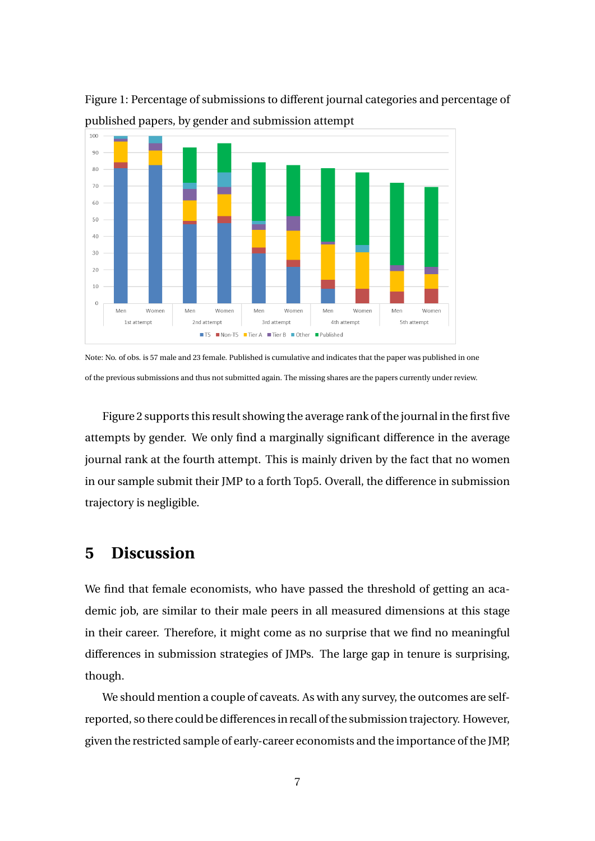

Figure 1: Percentage of submissions to different journal categories and percentage of published papers, by gender and submission attempt

Note: No. of obs. is 57 male and 23 female. Published is cumulative and indicates that the paper was published in one of the previous submissions and thus not submitted again. The missing shares are the papers currently under review.

Figure 2 supports this result showing the average rank of the journal in the first five attempts by gender. We only find a marginally significant difference in the average journal rank at the fourth attempt. This is mainly driven by the fact that no women in our sample submit their JMP to a forth Top5. Overall, the difference in submission trajectory is negligible.

#### **5 Discussion**

We find that female economists, who have passed the threshold of getting an academic job, are similar to their male peers in all measured dimensions at this stage in their career. Therefore, it might come as no surprise that we find no meaningful differences in submission strategies of JMPs. The large gap in tenure is surprising, though.

We should mention a couple of caveats. As with any survey, the outcomes are selfreported, so there could be differences in recall of the submission trajectory. However, given the restricted sample of early-career economists and the importance of the JMP,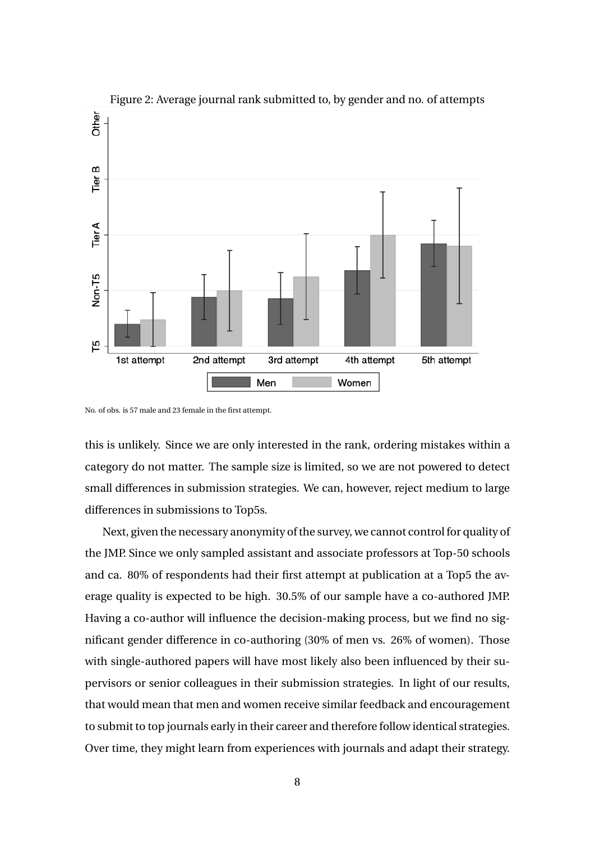



No. of obs. is 57 male and 23 female in the first attempt.

this is unlikely. Since we are only interested in the rank, ordering mistakes within a category do not matter. The sample size is limited, so we are not powered to detect small differences in submission strategies. We can, however, reject medium to large differences in submissions to Top5s.

Next, given the necessary anonymity of the survey, we cannot control for quality of the JMP. Since we only sampled assistant and associate professors at Top-50 schools and ca. 80% of respondents had their first attempt at publication at a Top5 the average quality is expected to be high. 30.5% of our sample have a co-authored JMP. Having a co-author will influence the decision-making process, but we find no significant gender difference in co-authoring (30% of men vs. 26% of women). Those with single-authored papers will have most likely also been influenced by their supervisors or senior colleagues in their submission strategies. In light of our results, that would mean that men and women receive similar feedback and encouragement to submit to top journals early in their career and therefore follow identical strategies. Over time, they might learn from experiences with journals and adapt their strategy.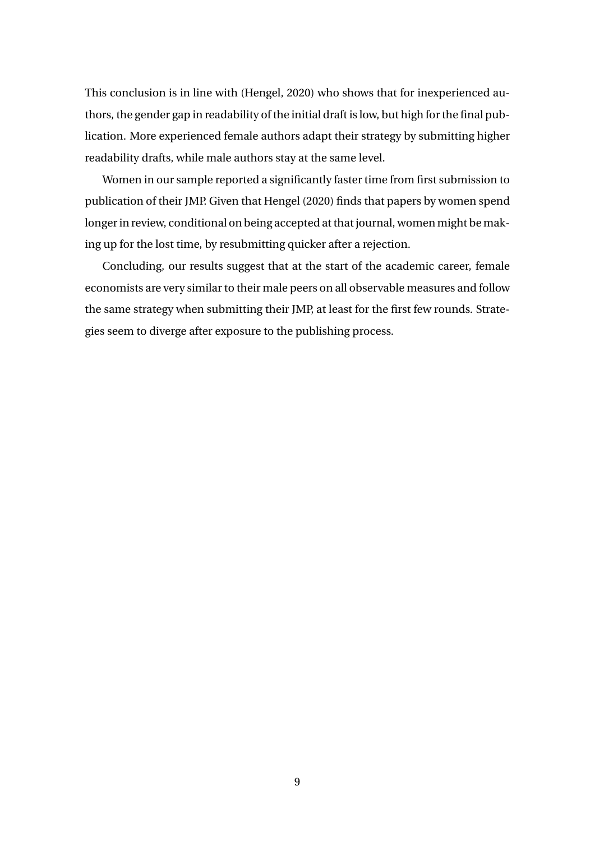This conclusion is in line with (Hengel, 2020) who shows that for inexperienced authors, the gender gap in readability of the initial draft is low, but high for the final publication. More experienced female authors adapt their strategy by submitting higher readability drafts, while male authors stay at the same level.

Women in our sample reported a significantly faster time from first submission to publication of their JMP. Given that Hengel (2020) finds that papers by women spend longer in review, conditional on being accepted at that journal, women might be making up for the lost time, by resubmitting quicker after a rejection.

Concluding, our results suggest that at the start of the academic career, female economists are very similar to their male peers on all observable measures and follow the same strategy when submitting their JMP, at least for the first few rounds. Strategies seem to diverge after exposure to the publishing process.